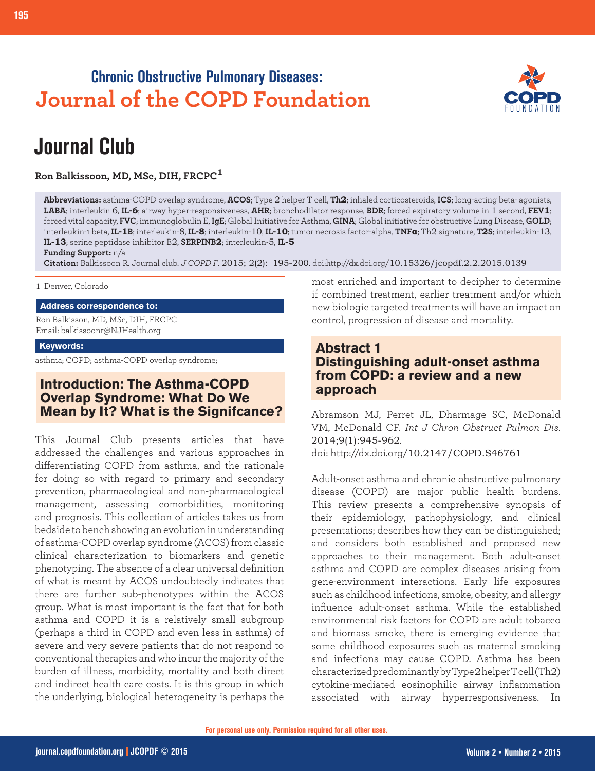## **Chronic Obstructive Pulmonary Diseases: Journal of the COPD Foundation**



# **Journal Club**

**Ron Balkissoon, MD, MSc, DIH, FRCPC<sup>1</sup>**

**Abbreviations:** asthma-COPD overlap syndrome, **ACOS**; Type 2 helper T cell, **Th2**; inhaled corticosteroids, **ICS**; long-acting beta- agonists, **LABA**; interleukin 6, **IL-6**; airway hyper-responsiveness, **AHR**; bronchodilator response, **BDR**; forced expiratory volume in 1 second, **FEV1**; forced vital capacity, **FVC**; immunoglobulin E, **IgE**; Global Initiative for Asthma, **GINA**; Global initiative for obstructive Lung Disease, **GOLD**; interleukin-1 beta, **IL-1B;** interleukin-8, **IL-8;** interleukin-10, **IL-10;** tumor necrosis factor-alpha, **TNFa;** Th2 signature, **T2S;** interleukin-13, **IL-13**; serine peptidase inhibitor B2, **SERPINB2**; interleukin-5, **IL-5**

**Funding Support:** n/a

**Citation:** Balkissoon R. Journal club. *J COPD F*. 2015; 2(2): 195-200. doi:http://dx.doi.org/10.15326/jcopdf.2.2.2015.0139

#### 1 Denver, Colorado

#### **Address correspondence to:**

Ron Balkisson, MD, MSc, DIH, FRCPC Email: balkissoonr@NJHealth.org

#### **Keywords:**

asthma; COPD; asthma-COPD overlap syndrome;

## **Introduction: The Asthma-COPD Overlap Syndrome: What Do We Mean by It? What is the Signifcance?**

This Journal Club presents articles that have addressed the challenges and various approaches in differentiating COPD from asthma, and the rationale for doing so with regard to primary and secondary prevention, pharmacological and non-pharmacological management, assessing comorbidities, monitoring and prognosis. This collection of articles takes us from bedside to bench showing an evolution in understanding of asthma-COPD overlap syndrome (ACOS) from classic clinical characterization to biomarkers and genetic phenotyping. The absence of a clear universal definition of what is meant by ACOS undoubtedly indicates that there are further sub-phenotypes within the ACOS group. What is most important is the fact that for both asthma and COPD it is a relatively small subgroup (perhaps a third in COPD and even less in asthma) of severe and very severe patients that do not respond to conventional therapies and who incur the majority of the burden of illness, morbidity, mortality and both direct and indirect health care costs. It is this group in which the underlying, biological heterogeneity is perhaps the most enriched and important to decipher to determine if combined treatment, earlier treatment and/or which new biologic targeted treatments will have an impact on control, progression of disease and mortality.

#### **Abstract 1 Distinguishing adult-onset asthma from COPD: a review and a new approach**

Abramson MJ, Perret JL, Dharmage SC, McDonald VM, McDonald CF. *Int J Chron Obstruct Pulmon Dis*. 2014;9(1):945-962. doi: http://dx.doi.org/10.2147/COPD.S46761

Adult-onset asthma and chronic obstructive pulmonary disease (COPD) are major public health burdens. This review presents a comprehensive synopsis of their epidemiology, pathophysiology, and clinical presentations; describes how they can be distinguished; and considers both established and proposed new approaches to their management. Both adult-onset asthma and COPD are complex diseases arising from gene-environment interactions. Early life exposures such as childhood infections, smoke, obesity, and allergy influence adult-onset asthma. While the established environmental risk factors for COPD are adult tobacco and biomass smoke, there is emerging evidence that some childhood exposures such as maternal smoking and infections may cause COPD. Asthma has been characterized predominantly by Type 2 helper T cell (Th2) cytokine-mediated eosinophilic airway inflammation associated with airway hyperresponsiveness. In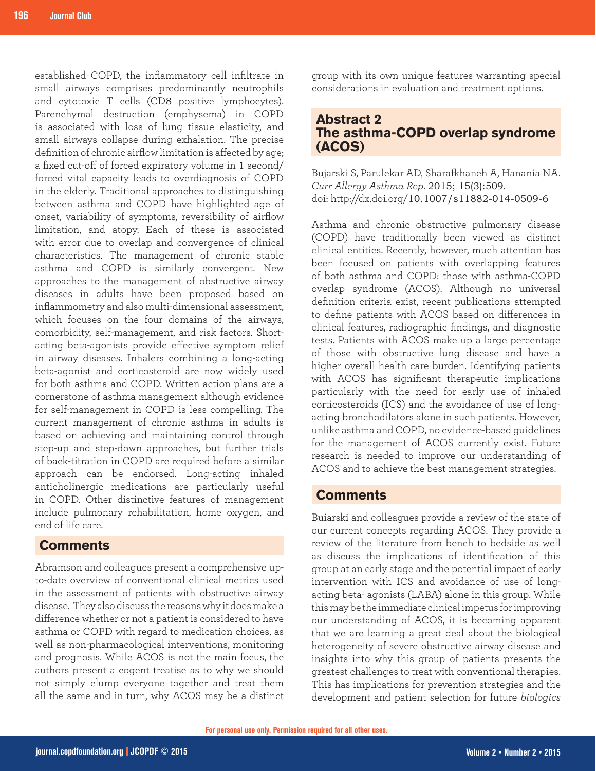established COPD, the inflammatory cell infiltrate in small airways comprises predominantly neutrophils and cytotoxic T cells (CD8 positive lymphocytes). Parenchymal destruction (emphysema) in COPD is associated with loss of lung tissue elasticity, and small airways collapse during exhalation. The precise definition of chronic airflow limitation is affected by age; a fixed cut-off of forced expiratory volume in 1 second/ forced vital capacity leads to overdiagnosis of COPD in the elderly. Traditional approaches to distinguishing between asthma and COPD have highlighted age of onset, variability of symptoms, reversibility of airflow limitation, and atopy. Each of these is associated with error due to overlap and convergence of clinical characteristics. The management of chronic stable asthma and COPD is similarly convergent. New approaches to the management of obstructive airway diseases in adults have been proposed based on inflammometry and also multi-dimensional assessment, which focuses on the four domains of the airways, comorbidity, self-management, and risk factors. Shortacting beta-agonists provide effective symptom relief in airway diseases. Inhalers combining a long-acting beta-agonist and corticosteroid are now widely used for both asthma and COPD. Written action plans are a cornerstone of asthma management although evidence for self-management in COPD is less compelling. The current management of chronic asthma in adults is based on achieving and maintaining control through step-up and step-down approaches, but further trials of back-titration in COPD are required before a similar approach can be endorsed. Long-acting inhaled anticholinergic medications are particularly useful in COPD. Other distinctive features of management include pulmonary rehabilitation, home oxygen, and end of life care.

#### **Comments**

Abramson and colleagues present a comprehensive upto-date overview of conventional clinical metrics used in the assessment of patients with obstructive airway disease. They also discuss the reasons why it does make a difference whether or not a patient is considered to have asthma or COPD with regard to medication choices, as well as non-pharmacological interventions, monitoring and prognosis. While ACOS is not the main focus, the authors present a cogent treatise as to why we should not simply clump everyone together and treat them all the same and in turn, why ACOS may be a distinct group with its own unique features warranting special considerations in evaluation and treatment options.

#### **Abstract 2 The asthma-COPD overlap syndrome (ACOS)**

Bujarski S, Parulekar AD, Sharafkhaneh A, Hanania NA. *Curr Allergy Asthma Rep*. 2015; 15(3):509. doi: http://dx.doi.org/10.1007/s11882-014-0509-6

Asthma and chronic obstructive pulmonary disease (COPD) have traditionally been viewed as distinct clinical entities. Recently, however, much attention has been focused on patients with overlapping features of both asthma and COPD: those with asthma-COPD overlap syndrome (ACOS). Although no universal definition criteria exist, recent publications attempted to define patients with ACOS based on differences in clinical features, radiographic findings, and diagnostic tests. Patients with ACOS make up a large percentage of those with obstructive lung disease and have a higher overall health care burden. Identifying patients with ACOS has significant therapeutic implications particularly with the need for early use of inhaled corticosteroids (ICS) and the avoidance of use of longacting bronchodilators alone in such patients. However, unlike asthma and COPD, no evidence-based guidelines for the management of ACOS currently exist. Future research is needed to improve our understanding of ACOS and to achieve the best management strategies.

#### **Comments**

Buiarski and colleagues provide a review of the state of our current concepts regarding ACOS. They provide a review of the literature from bench to bedside as well as discuss the implications of identification of this group at an early stage and the potential impact of early intervention with ICS and avoidance of use of longacting beta- agonists (LABA) alone in this group. While this may be the immediate clinical impetus for improving our understanding of ACOS, it is becoming apparent that we are learning a great deal about the biological heterogeneity of severe obstructive airway disease and insights into why this group of patients presents the greatest challenges to treat with conventional therapies. This has implications for prevention strategies and the development and patient selection for future *biologics*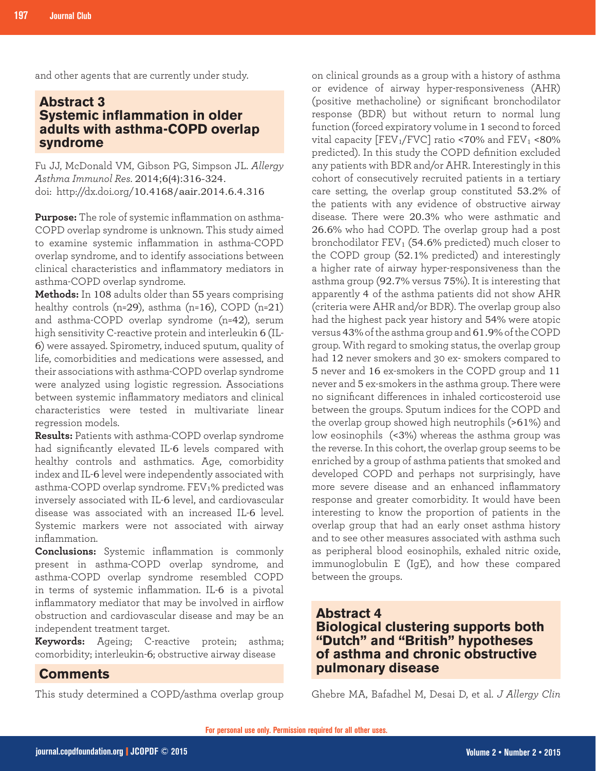and other agents that are currently under study.

## **Abstract 3 Systemic inflammation in older adults with asthma-COPD overlap syndrome**

Fu JJ, McDonald VM, Gibson PG, Simpson JL. *Allergy Asthma Immunol Res*. 2014;6(4):316-324. doi: http://dx.doi.org/10.4168/aair.2014.6.4.316

**Purpose:** The role of systemic inflammation on asthma-COPD overlap syndrome is unknown. This study aimed to examine systemic inflammation in asthma-COPD overlap syndrome, and to identify associations between clinical characteristics and inflammatory mediators in asthma-COPD overlap syndrome.

**Methods:** In 108 adults older than 55 years comprising healthy controls (n=29), asthma (n=16), COPD (n=21) and asthma-COPD overlap syndrome (n=42), serum high sensitivity C-reactive protein and interleukin 6 (IL-6) were assayed. Spirometry, induced sputum, quality of life, comorbidities and medications were assessed, and their associations with asthma-COPD overlap syndrome were analyzed using logistic regression. Associations between systemic inflammatory mediators and clinical characteristics were tested in multivariate linear regression models.

**Results:** Patients with asthma-COPD overlap syndrome had significantly elevated IL-6 levels compared with healthy controls and asthmatics. Age, comorbidity index and IL-6 level were independently associated with asthma-COPD overlap syndrome. FEV1% predicted was inversely associated with IL-6 level, and cardiovascular disease was associated with an increased IL-6 level. Systemic markers were not associated with airway inflammation.

**Conclusions:** Systemic inflammation is commonly present in asthma-COPD overlap syndrome, and asthma-COPD overlap syndrome resembled COPD in terms of systemic inflammation. IL-6 is a pivotal inflammatory mediator that may be involved in airflow obstruction and cardiovascular disease and may be an independent treatment target.

**Keywords:** Ageing; C-reactive protein; asthma; comorbidity; interleukin-6; obstructive airway disease

#### **Comments**

This study determined a COPD/asthma overlap group

on clinical grounds as a group with a history of asthma or evidence of airway hyper-responsiveness (AHR) (positive methacholine) or significant bronchodilator response (BDR) but without return to normal lung function (forced expiratory volume in 1 second to forced vital capacity  $[FEV<sub>1</sub>/FVC]$  ratio <70% and  $FEV<sub>1</sub>$  <80% predicted). In this study the COPD definition excluded any patients with BDR and/or AHR. Interestingly in this cohort of consecutively recruited patients in a tertiary care setting, the overlap group constituted 53.2% of the patients with any evidence of obstructive airway disease. There were 20.3% who were asthmatic and 26.6% who had COPD. The overlap group had a post bronchodilator  $FEV<sub>1</sub>$  (54.6% predicted) much closer to the COPD group (52.1% predicted) and interestingly a higher rate of airway hyper-responsiveness than the asthma group (92.7% versus 75%). It is interesting that apparently 4 of the asthma patients did not show AHR (criteria were AHR and/or BDR). The overlap group also had the highest pack year history and 54% were atopic versus 43% of the asthma group and 61.9% of the COPD group. With regard to smoking status, the overlap group had 12 never smokers and 30 ex- smokers compared to 5 never and 16 ex-smokers in the COPD group and 11 never and 5 ex-smokers in the asthma group. There were no significant differences in inhaled corticosteroid use between the groups. Sputum indices for the COPD and the overlap group showed high neutrophils (>61%) and low eosinophils (<3%) whereas the asthma group was the reverse. In this cohort, the overlap group seems to be enriched by a group of asthma patients that smoked and developed COPD and perhaps not surprisingly, have more severe disease and an enhanced inflammatory response and greater comorbidity. It would have been interesting to know the proportion of patients in the overlap group that had an early onset asthma history and to see other measures associated with asthma such as peripheral blood eosinophils, exhaled nitric oxide, immunoglobulin E (IgE), and how these compared between the groups.

#### **Abstract 4 Biological clustering supports both "Dutch" and "British" hypotheses of asthma and chronic obstructive pulmonary disease**

Ghebre MA, Bafadhel M, Desai D, et al. *J Allergy Clin*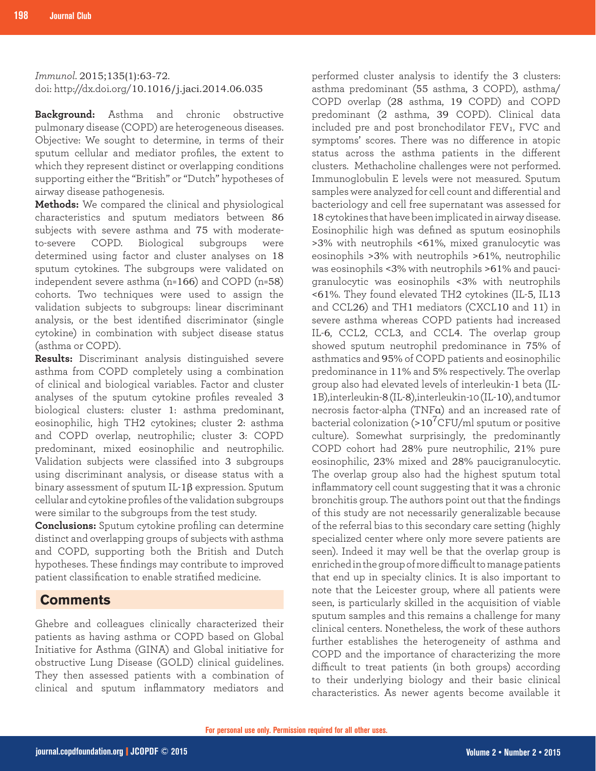*Immunol*. 2015;135(1):63-72. doi: http://dx.doi.org/10.1016/j.jaci.2014.06.035

**Background:** Asthma and chronic obstructive pulmonary disease (COPD) are heterogeneous diseases. Objective: We sought to determine, in terms of their sputum cellular and mediator profiles, the extent to which they represent distinct or overlapping conditions supporting either the "British" or "Dutch" hypotheses of airway disease pathogenesis.

**Methods:** We compared the clinical and physiological characteristics and sputum mediators between 86 subjects with severe asthma and 75 with moderateto-severe COPD. Biological subgroups were determined using factor and cluster analyses on 18 sputum cytokines. The subgroups were validated on independent severe asthma (n=166) and COPD (n=58) cohorts. Two techniques were used to assign the validation subjects to subgroups: linear discriminant analysis, or the best identified discriminator (single cytokine) in combination with subject disease status (asthma or COPD).

**Results:** Discriminant analysis distinguished severe asthma from COPD completely using a combination of clinical and biological variables. Factor and cluster analyses of the sputum cytokine profiles revealed 3 biological clusters: cluster 1: asthma predominant, eosinophilic, high TH2 cytokines; cluster 2: asthma and COPD overlap, neutrophilic; cluster 3: COPD predominant, mixed eosinophilic and neutrophilic. Validation subjects were classified into 3 subgroups using discriminant analysis, or disease status with a binary assessment of sputum IL-1β expression. Sputum cellular and cytokine profiles of the validation subgroups were similar to the subgroups from the test study.

**Conclusions:** Sputum cytokine profiling can determine distinct and overlapping groups of subjects with asthma and COPD, supporting both the British and Dutch hypotheses. These findings may contribute to improved patient classification to enable stratified medicine.

#### **Comments**

Ghebre and colleagues clinically characterized their patients as having asthma or COPD based on Global Initiative for Asthma (GINA) and Global initiative for obstructive Lung Disease (GOLD) clinical guidelines. They then assessed patients with a combination of clinical and sputum inflammatory mediators and performed cluster analysis to identify the 3 clusters: asthma predominant (55 asthma, 3 COPD), asthma/ COPD overlap (28 asthma, 19 COPD) and COPD predominant (2 asthma, 39 COPD). Clinical data included pre and post bronchodilator FEV1, FVC and symptoms' scores. There was no difference in atopic status across the asthma patients in the different clusters. Methacholine challenges were not performed. Immunoglobulin E levels were not measured. Sputum samples were analyzed for cell count and differential and bacteriology and cell free supernatant was assessed for 18 cytokines that have been implicated in airway disease. Eosinophilic high was defined as sputum eosinophils >3% with neutrophils <61%, mixed granulocytic was eosinophils >3% with neutrophils >61%, neutrophilic was eosinophils <3% with neutrophils >61% and paucigranulocytic was eosinophils <3% with neutrophils <61%. They found elevated TH2 cytokines (IL-5, IL13 and CCL26) and TH1 mediators (CXCL10 and 11) in severe asthma whereas COPD patients had increased IL-6, CCL2, CCL3, and CCL4. The overlap group showed sputum neutrophil predominance in 75% of asthmatics and 95% of COPD patients and eosinophilic predominance in 11% and 5% respectively. The overlap group also had elevated levels of interleukin-1 beta (IL-1B),interleukin-8 (IL-8),interleukin-10 (IL-10), and tumor necrosis factor-alpha (TNFα) and an increased rate of bacterial colonization (> $10^{7}$ CFU/ml sputum or positive culture). Somewhat surprisingly, the predominantly COPD cohort had 28% pure neutrophilic, 21% pure eosinophilic, 23% mixed and 28% paucigranulocytic. The overlap group also had the highest sputum total inflammatory cell count suggesting that it was a chronic bronchitis group. The authors point out that the findings of this study are not necessarily generalizable because of the referral bias to this secondary care setting (highly specialized center where only more severe patients are seen). Indeed it may well be that the overlap group is enriched in the group of more difficult to manage patients that end up in specialty clinics. It is also important to note that the Leicester group, where all patients were seen, is particularly skilled in the acquisition of viable sputum samples and this remains a challenge for many clinical centers. Nonetheless, the work of these authors further establishes the heterogeneity of asthma and COPD and the importance of characterizing the more difficult to treat patients (in both groups) according to their underlying biology and their basic clinical characteristics. As newer agents become available it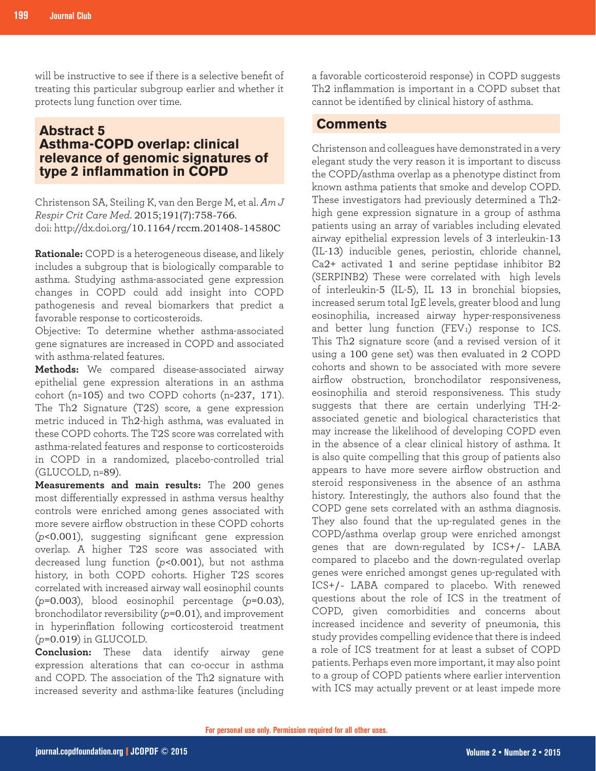will be instructive to see if there is a selective benefit of treating this particular subgroup earlier and whether it protects lung function over time.

## **Abstract 5 Asthma-COPD overlap: clinical relevance of genomic signatures of type 2 inflammation in COPD**

Christenson SA, Steiling K, van den Berge M, et al. *Am J Respir Crit Care Med*. 2015;191(7):758-766. doi: http://dx.doi.org/10.1164/rccm.201408-14580C

**Rationale:** COPD is a heterogeneous disease, and likely includes a subgroup that is biologically comparable to asthma. Studying asthma-associated gene expression changes in COPD could add insight into COPD pathogenesis and reveal biomarkers that predict a favorable response to corticosteroids.

Objective: To determine whether asthma-associated gene signatures are increased in COPD and associated with asthma-related features.

**Methods:** We compared disease-associated airway epithelial gene expression alterations in an asthma cohort (n=105) and two COPD cohorts (n=237, 171). The Th2 Signature (T2S) score, a gene expression metric induced in Th2-high asthma, was evaluated in these COPD cohorts. The T2S score was correlated with asthma-related features and response to corticosteroids in COPD in a randomized, placebo-controlled trial (GLUCOLD, n=89).

**Measurements and main results:** The 200 genes most differentially expressed in asthma versus healthy controls were enriched among genes associated with more severe airflow obstruction in these COPD cohorts (*p*<0.001), suggesting significant gene expression overlap. A higher T2S score was associated with decreased lung function (*p*<0.001), but not asthma history, in both COPD cohorts. Higher T2S scores correlated with increased airway wall eosinophil counts (*p*=0.003), blood eosinophil percentage (*p*=0.03), bronchodilator reversibility (*p*=0.01), and improvement in hyperinflation following corticosteroid treatment (*p*=0.019) in GLUCOLD.

**Conclusion:** These data identify airway gene expression alterations that can co-occur in asthma and COPD. The association of the Th2 signature with increased severity and asthma-like features (including

a favorable corticosteroid response) in COPD suggests Th2 inflammation is important in a COPD subset that cannot be identified by clinical history of asthma.

#### **Comments**

Christenson and colleagues have demonstrated in a very elegant study the very reason it is important to discuss the COPD/asthma overlap as a phenotype distinct from known asthma patients that smoke and develop COPD. These investigators had previously determined a Th2 high gene expression signature in a group of asthma patients using an array of variables including elevated airway epithelial expression levels of 3 interleukin-13 (IL-13) inducible genes, periostin, chloride channel, Ca2+ activated 1 and serine peptidase inhibitor B2 (SERPINB2) These were correlated with high levels of interleukin-5 (IL-5), IL 13 in bronchial biopsies, increased serum total IgE levels, greater blood and lung eosinophilia, increased airway hyper-responsiveness and better lung function  $(FEV_1)$  response to ICS. This Th2 signature score (and a revised version of it using a 100 gene set) was then evaluated in 2 COPD cohorts and shown to be associated with more severe airflow obstruction, bronchodilator responsiveness, eosinophilia and steroid responsiveness. This study suggests that there are certain underlying TH-2 associated genetic and biological characteristics that may increase the likelihood of developing COPD even in the absence of a clear clinical history of asthma. It is also quite compelling that this group of patients also appears to have more severe airflow obstruction and steroid responsiveness in the absence of an asthma history. Interestingly, the authors also found that the COPD gene sets correlated with an asthma diagnosis. They also found that the up-regulated genes in the COPD/asthma overlap group were enriched amongst genes that are down-regulated by ICS+/- LABA compared to placebo and the down-regulated overlap genes were enriched amongst genes up-regulated with ICS+/- LABA compared to placebo. With renewed questions about the role of ICS in the treatment of COPD, given comorbidities and concerns about increased incidence and severity of pneumonia, this study provides compelling evidence that there is indeed a role of ICS treatment for at least a subset of COPD patients. Perhaps even more important, it may also point to a group of COPD patients where earlier intervention with ICS may actually prevent or at least impede more